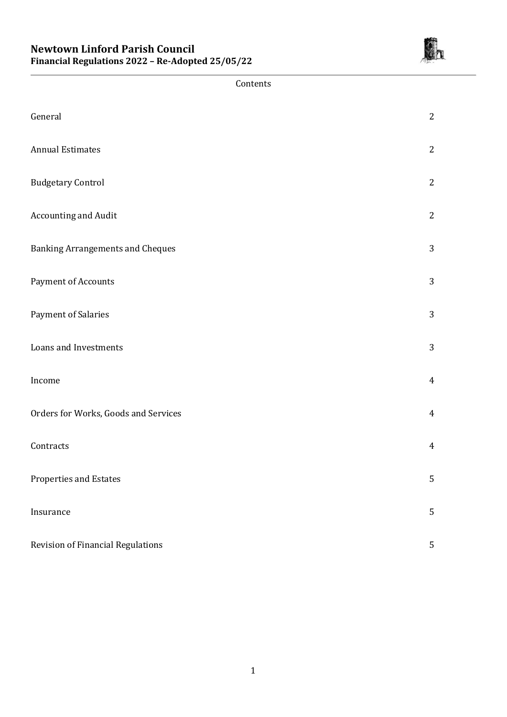

| Contents                                |                |
|-----------------------------------------|----------------|
| General                                 | 2              |
| <b>Annual Estimates</b>                 | $\overline{2}$ |
| <b>Budgetary Control</b>                | $\overline{2}$ |
| <b>Accounting and Audit</b>             | $\overline{2}$ |
| <b>Banking Arrangements and Cheques</b> | 3              |
| Payment of Accounts                     | 3              |
| Payment of Salaries                     | 3              |
| Loans and Investments                   | 3              |
| Income                                  | $\overline{4}$ |
| Orders for Works, Goods and Services    | $\overline{4}$ |
| Contracts                               | $\overline{4}$ |
| Properties and Estates                  | 5              |
| Insurance                               | 5              |
| Revision of Financial Regulations       | $\sqrt{5}$     |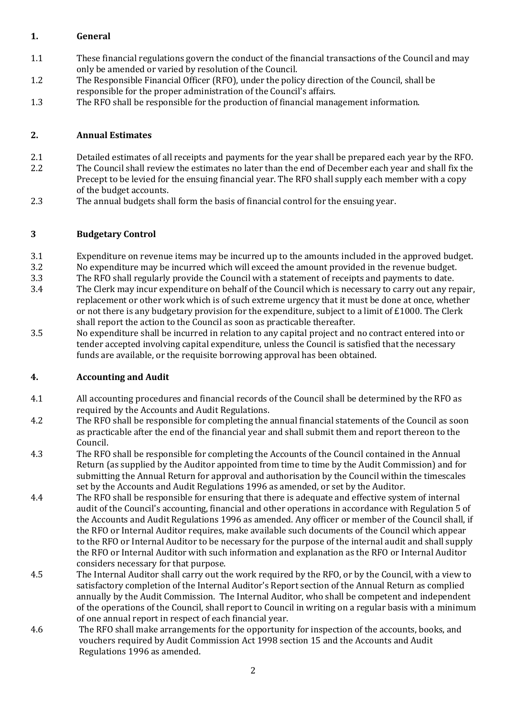### **1. General**

- 1.1 These financial regulations govern the conduct of the financial transactions of the Council and may only be amended or varied by resolution of the Council.
- 1.2 The Responsible Financial Officer (RFO), under the policy direction of the Council, shall be responsible for the proper administration of the Council's affairs.
- 1.3 The RFO shall be responsible for the production of financial management information.

#### **2. Annual Estimates**

- 2.1 Detailed estimates of all receipts and payments for the year shall be prepared each year by the RFO.
- 2.2 The Council shall review the estimates no later than the end of December each year and shall fix the Precept to be levied for the ensuing financial year. The RFO shall supply each member with a copy of the budget accounts.
- 2.3 The annual budgets shall form the basis of financial control for the ensuing year.

### **3 Budgetary Control**

- 3.1 Expenditure on revenue items may be incurred up to the amounts included in the approved budget.
- 3.2 No expenditure may be incurred which will exceed the amount provided in the revenue budget.
- 3.3 The RFO shall regularly provide the Council with a statement of receipts and payments to date.
- 3.4 The Clerk may incur expenditure on behalf of the Council which is necessary to carry out any repair, replacement or other work which is of such extreme urgency that it must be done at once, whether or not there is any budgetary provision for the expenditure, subject to a limit of £1000. The Clerk shall report the action to the Council as soon as practicable thereafter.
- 3.5 No expenditure shall be incurred in relation to any capital project and no contract entered into or tender accepted involving capital expenditure, unless the Council is satisfied that the necessary funds are available, or the requisite borrowing approval has been obtained.

## **4. Accounting and Audit**

- 4.1 All accounting procedures and financial records of the Council shall be determined by the RFO as required by the Accounts and Audit Regulations.
- 4.2 The RFO shall be responsible for completing the annual financial statements of the Council as soon as practicable after the end of the financial year and shall submit them and report thereon to the Council.
- 4.3 The RFO shall be responsible for completing the Accounts of the Council contained in the Annual Return (as supplied by the Auditor appointed from time to time by the Audit Commission) and for submitting the Annual Return for approval and authorisation by the Council within the timescales set by the Accounts and Audit Regulations 1996 as amended, or set by the Auditor.
- 4.4 The RFO shall be responsible for ensuring that there is adequate and effective system of internal audit of the Council's accounting, financial and other operations in accordance with Regulation 5 of the Accounts and Audit Regulations 1996 as amended. Any officer or member of the Council shall, if the RFO or Internal Auditor requires, make available such documents of the Council which appear to the RFO or Internal Auditor to be necessary for the purpose of the internal audit and shall supply the RFO or Internal Auditor with such information and explanation as the RFO or Internal Auditor considers necessary for that purpose.
- 4.5 The Internal Auditor shall carry out the work required by the RFO, or by the Council, with a view to satisfactory completion of the Internal Auditor's Report section of the Annual Return as complied annually by the Audit Commission. The Internal Auditor, who shall be competent and independent of the operations of the Council, shall report to Council in writing on a regular basis with a minimum of one annual report in respect of each financial year.
- 4.6 The RFO shall make arrangements for the opportunity for inspection of the accounts, books, and vouchers required by Audit Commission Act 1998 section 15 and the Accounts and Audit Regulations 1996 as amended.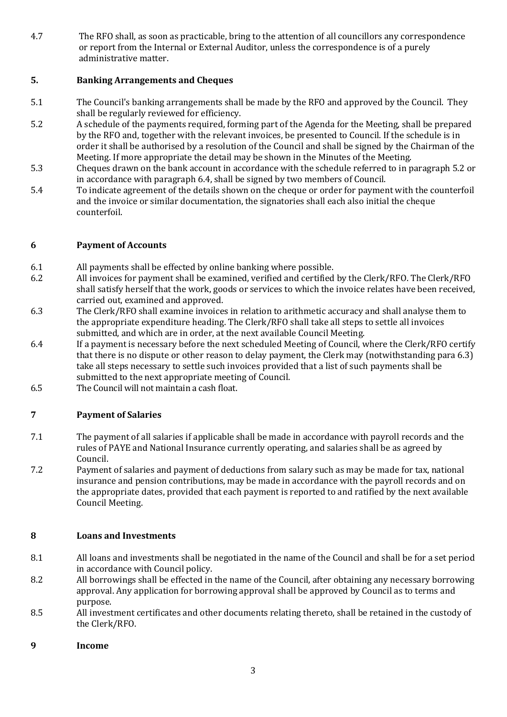4.7 The RFO shall, as soon as practicable, bring to the attention of all councillors any correspondence or report from the Internal or External Auditor, unless the correspondence is of a purely administrative matter.

## **5. Banking Arrangements and Cheques**

- 5.1 The Council's banking arrangements shall be made by the RFO and approved by the Council. They shall be regularly reviewed for efficiency.
- 5.2 A schedule of the payments required, forming part of the Agenda for the Meeting, shall be prepared by the RFO and, together with the relevant invoices, be presented to Council. If the schedule is in order it shall be authorised by a resolution of the Council and shall be signed by the Chairman of the Meeting. If more appropriate the detail may be shown in the Minutes of the Meeting.
- 5.3 Cheques drawn on the bank account in accordance with the schedule referred to in paragraph 5.2 or in accordance with paragraph 6.4, shall be signed by two members of Council.
- 5.4 To indicate agreement of the details shown on the cheque or order for payment with the counterfoil and the invoice or similar documentation, the signatories shall each also initial the cheque counterfoil.

### **6 Payment of Accounts**

- 6.1 All payments shall be effected by online banking where possible.
- 6.2 All invoices for payment shall be examined, verified and certified by the Clerk/RFO. The Clerk/RFO shall satisfy herself that the work, goods or services to which the invoice relates have been received, carried out, examined and approved.
- 6.3 The Clerk/RFO shall examine invoices in relation to arithmetic accuracy and shall analyse them to the appropriate expenditure heading. The Clerk/RFO shall take all steps to settle all invoices submitted, and which are in order, at the next available Council Meeting.
- 6.4 If a payment is necessary before the next scheduled Meeting of Council, where the Clerk/RFO certify that there is no dispute or other reason to delay payment, the Clerk may (notwithstanding para 6.3) take all steps necessary to settle such invoices provided that a list of such payments shall be submitted to the next appropriate meeting of Council.
- 6.5 The Council will not maintain a cash float.

## **7 Payment of Salaries**

- 7.1 The payment of all salaries if applicable shall be made in accordance with payroll records and the rules of PAYE and National Insurance currently operating, and salaries shall be as agreed by Council.
- 7.2 Payment of salaries and payment of deductions from salary such as may be made for tax, national insurance and pension contributions, may be made in accordance with the payroll records and on the appropriate dates, provided that each payment is reported to and ratified by the next available Council Meeting.

## **8 Loans and Investments**

- 8.1 All loans and investments shall be negotiated in the name of the Council and shall be for a set period in accordance with Council policy.
- 8.2 All borrowings shall be effected in the name of the Council, after obtaining any necessary borrowing approval. Any application for borrowing approval shall be approved by Council as to terms and purpose.
- 8.5 All investment certificates and other documents relating thereto, shall be retained in the custody of the Clerk/RFO.
- **9 Income**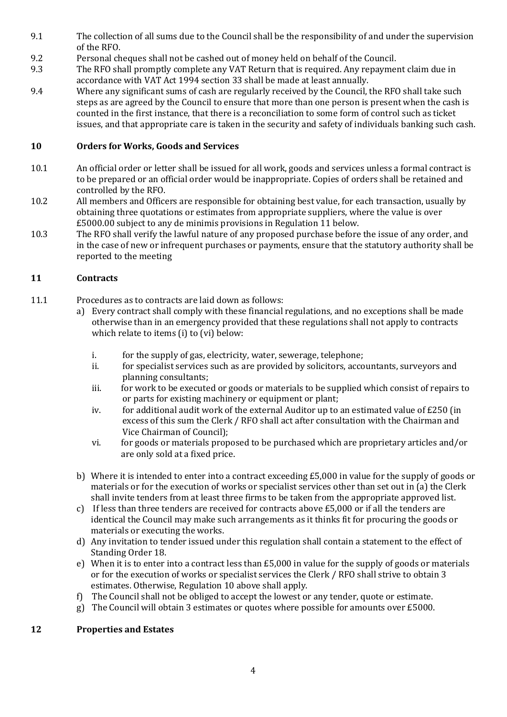- 9.1 The collection of all sums due to the Council shall be the responsibility of and under the supervision of the RFO.
- 9.2 Personal cheques shall not be cashed out of money held on behalf of the Council.
- 9.3 The RFO shall promptly complete any VAT Return that is required. Any repayment claim due in accordance with VAT Act 1994 section 33 shall be made at least annually.
- 9.4 Where any significant sums of cash are regularly received by the Council, the RFO shall take such steps as are agreed by the Council to ensure that more than one person is present when the cash is counted in the first instance, that there is a reconciliation to some form of control such as ticket issues, and that appropriate care is taken in the security and safety of individuals banking such cash.

# **10 Orders for Works, Goods and Services**

- 10.1 An official order or letter shall be issued for all work, goods and services unless a formal contract is to be prepared or an official order would be inappropriate. Copies of orders shall be retained and controlled by the RFO.
- 10.2 All members and Officers are responsible for obtaining best value, for each transaction, usually by obtaining three quotations or estimates from appropriate suppliers, where the value is over £5000.00 subject to any de minimis provisions in Regulation 11 below.
- 10.3 The RFO shall verify the lawful nature of any proposed purchase before the issue of any order, and in the case of new or infrequent purchases or payments, ensure that the statutory authority shall be reported to the meeting

# **11 Contracts**

- 11.1 Procedures as to contracts are laid down as follows:
	- a) Every contract shall comply with these financial regulations, and no exceptions shall be made otherwise than in an emergency provided that these regulations shall not apply to contracts which relate to items (i) to (vi) below:
		- i. for the supply of gas, electricity, water, sewerage, telephone;
		- ii. for specialist services such as are provided by solicitors, accountants, surveyors and planning consultants;
		- iii. for work to be executed or goods or materials to be supplied which consist of repairs to or parts for existing machinery or equipment or plant;
		- iv. for additional audit work of the external Auditor up to an estimated value of £250 (in excess of this sum the Clerk / RFO shall act after consultation with the Chairman and Vice Chairman of Council);
		- vi. for goods or materials proposed to be purchased which are proprietary articles and/or are only sold at a fixed price.
	- b) Where it is intended to enter into a contract exceeding £5,000 in value for the supply of goods or materials or for the execution of works or specialist services other than set out in (a) the Clerk shall invite tenders from at least three firms to be taken from the appropriate approved list.
	- c) If less than three tenders are received for contracts above £5,000 or if all the tenders are identical the Council may make such arrangements as it thinks fit for procuring the goods or materials or executing the works.
	- d) Any invitation to tender issued under this regulation shall contain a statement to the effect of Standing Order 18.
	- e) When it is to enter into a contract less than £5,000 in value for the supply of goods or materials or for the execution of works or specialist services the Clerk / RFO shall strive to obtain 3 estimates. Otherwise, Regulation 10 above shall apply.
	- f) The Council shall not be obliged to accept the lowest or any tender, quote or estimate.
	- g) The Council will obtain 3 estimates or quotes where possible for amounts over £5000.

## **12 Properties and Estates**